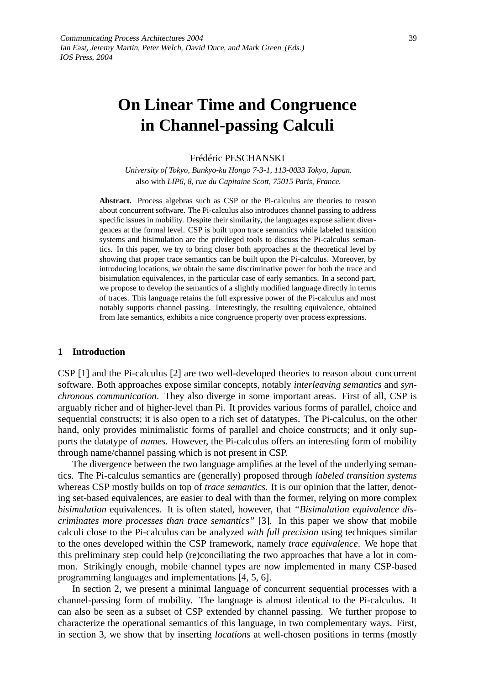# **On Linear Time and Congruence in Channel-passing Calculi**

# Frédéric PESCHANSKI

*University of Tokyo, Bunkyo-ku Hongo 7-3-1, 113-0033 Tokyo, Japan.* also with *LIP6, 8, rue du Capitaine Scott, 75015 Paris, France.*

**Abstract.** Process algebras such as CSP or the Pi-calculus are theories to reason about concurrent software. The Pi-calculus also introduces channel passing to address specific issues in mobility. Despite their similarity, the languages expose salient divergences at the formal level. CSP is built upon trace semantics while labeled transition systems and bisimulation are the privileged tools to discuss the Pi-calculus semantics. In this paper, we try to bring closer both approaches at the theoretical level by showing that proper trace semantics can be built upon the Pi-calculus. Moreover, by introducing locations, we obtain the same discriminative power for both the trace and bisimulation equivalences, in the particular case of early semantics. In a second part, we propose to develop the semantics of a slightly modified language directly in terms of traces. This language retains the full expressive power of the Pi-calculus and most notably supports channel passing. Interestingly, the resulting equivalence, obtained from late semantics, exhibits a nice congruence property over process expressions.

# **1 Introduction**

CSP [1] and the Pi-calculus [2] are two well-developed theories to reason about concurrent software. Both approaches expose similar concepts, notably *interleaving semantics* and *synchronous communication*. They also diverge in some important areas. First of all, CSP is arguably richer and of higher-level than Pi. It provides various forms of parallel, choice and sequential constructs; it is also open to a rich set of datatypes. The Pi-calculus, on the other hand, only provides minimalistic forms of parallel and choice constructs; and it only supports the datatype of *names*. However, the Pi-calculus offers an interesting form of mobility through name/channel passing which is not present in CSP.

The divergence between the two language amplifies at the level of the underlying semantics. The Pi-calculus semantics are (generally) proposed through *labeled transition systems* whereas CSP mostly builds on top of *trace semantics*. It is our opinion that the latter, denoting set-based equivalences, are easier to deal with than the former, relying on more complex *bisimulation* equivalences. It is often stated, however, that *"Bisimulation equivalence discriminates more processes than trace semantics"* [3]. In this paper we show that mobile calculi close to the Pi-calculus can be analyzed *with full precision* using techniques similar to the ones developed within the CSP framework, namely *trace equivalence*. We hope that this preliminary step could help (re)conciliating the two approaches that have a lot in common. Strikingly enough, mobile channel types are now implemented in many CSP-based programming languages and implementations [4, 5, 6].

In section 2, we present a minimal language of concurrent sequential processes with a channel-passing form of mobility. The language is almost identical to the Pi-calculus. It can also be seen as a subset of CSP extended by channel passing. We further propose to characterize the operational semantics of this language, in two complementary ways. First, in section 3, we show that by inserting *locations* at well-chosen positions in terms (mostly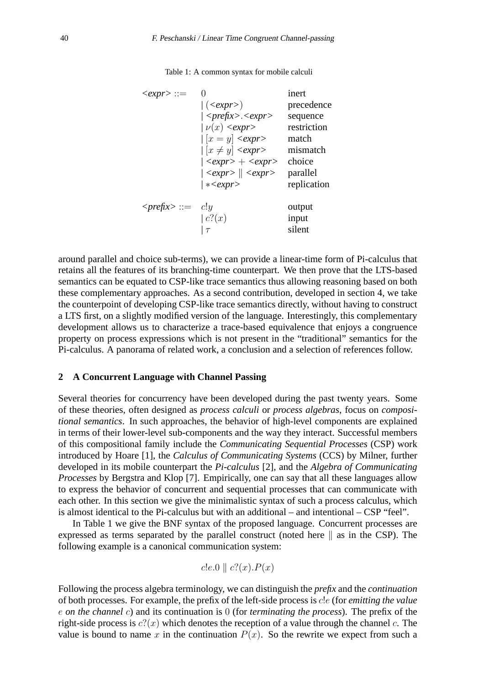| $\langle expr \rangle ::=$       |                                               | inert       |
|----------------------------------|-----------------------------------------------|-------------|
|                                  | $  ( \langle expr \rangle )$                  | precedence  |
|                                  | $ $ <prefix>.<expr></expr></prefix>           | sequence    |
|                                  | $  \nu(x) \langle expr \rangle$               | restriction |
|                                  | $\vert x=y \vert$ < expr>                     | match       |
|                                  | $\vert x \neq y \vert$ <expr></expr>          | mismatch    |
|                                  | $ <\epsilon xpr> + <\epsilon xpr>$            | choice      |
|                                  | $ \langle expr \rangle  \langle expr \rangle$ | parallel    |
|                                  | $  *<\epsilon xpr>$                           | replication |
| $\langle prefix \rangle ::= c!y$ |                                               | output      |
|                                  | c(0x)                                         | input       |
|                                  | $\tau$                                        | silent      |

Table 1: A common syntax for mobile calculi

around parallel and choice sub-terms), we can provide a linear-time form of Pi-calculus that retains all the features of its branching-time counterpart. We then prove that the LTS-based semantics can be equated to CSP-like trace semantics thus allowing reasoning based on both these complementary approaches. As a second contribution, developed in section 4, we take the counterpoint of developing CSP-like trace semantics directly, without having to construct a LTS first, on a slightly modified version of the language. Interestingly, this complementary development allows us to characterize a trace-based equivalence that enjoys a congruence property on process expressions which is not present in the "traditional" semantics for the Pi-calculus. A panorama of related work, a conclusion and a selection of references follow.

# **2 A Concurrent Language with Channel Passing**

Several theories for concurrency have been developed during the past twenty years. Some of these theories, often designed as *process calculi* or *process algebras*, focus on *compositional semantics*. In such approaches, the behavior of high-level components are explained in terms of their lower-level sub-components and the way they interact. Successful members of this compositional family include the *Communicating Sequential Processes* (CSP) work introduced by Hoare [1], the *Calculus of Communicating Systems* (CCS) by Milner, further developed in its mobile counterpart the *Pi-calculus* [2], and the *Algebra of Communicating Processes* by Bergstra and Klop [7]. Empirically, one can say that all these languages allow to express the behavior of concurrent and sequential processes that can communicate with each other. In this section we give the minimalistic syntax of such a process calculus, which is almost identical to the Pi-calculus but with an additional  $-$  and intentional  $-$  CSP "feel".

In Table 1 we give the BNF syntax of the proposed language. Concurrent processes are expressed as terms separated by the parallel construct (noted here  $\parallel$  as in the CSP). The following example is a canonical communication system:

$$
c!e.0 \parallel c?(x).P(x)
$$

Following the process algebra terminology, we can distinguish the *prefix* and the *continuation* of both processes. For example, the prefix of the left-side process is c!e (for *emitting the value* e *on the channel* c) and its continuation is 0 (for *terminating the process*). The prefix of the right-side process is  $c^2(x)$  which denotes the reception of a value through the channel c. The value is bound to name x in the continuation  $P(x)$ . So the rewrite we expect from such a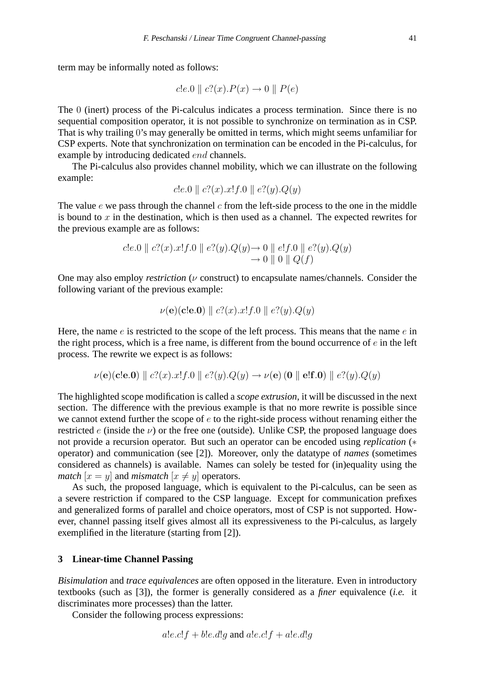term may be informally noted as follows:

$$
c!e.0 \parallel c?(x).P(x) \rightarrow 0 \parallel P(e)
$$

The 0 (inert) process of the Pi-calculus indicates a process termination. Since there is no sequential composition operator, it is not possible to synchronize on termination as in CSP. That is why trailing 0's may generally be omitted in terms, which might seems unfamiliar for CSP experts. Note that synchronization on termination can be encoded in the Pi-calculus, for example by introducing dedicated end channels.

The Pi-calculus also provides channel mobility, which we can illustrate on the following example:

$$
c!e.0 \parallel c?(x).x!f.0 \parallel e?(y).Q(y)
$$

The value  $e$  we pass through the channel  $c$  from the left-side process to the one in the middle is bound to  $x$  in the destination, which is then used as a channel. The expected rewrites for the previous example are as follows:

$$
c!e.0 \parallel c?(x).x!f.0 \parallel e?(y).Q(y) \rightarrow 0 \parallel e!f.0 \parallel e?(y).Q(y)
$$
  

$$
\rightarrow 0 \parallel 0 \parallel Q(f)
$$

One may also employ *restriction* ( $\nu$  construct) to encapsulate names/channels. Consider the following variant of the previous example:

$$
\nu(\mathbf{e})(\mathbf{c}!\mathbf{e}.\mathbf{0}) \parallel c?(x).x!f.0 \parallel e?(y).Q(y)
$$

Here, the name  $e$  is restricted to the scope of the left process. This means that the name  $e$  in the right process, which is a free name, is different from the bound occurrence of  $e$  in the left process. The rewrite we expect is as follows:

$$
\nu(\mathbf{e})(\mathbf{c}!\mathbf{e}.\mathbf{0}) \parallel c?(x).x!f.0 \parallel e?(y).Q(y) \rightarrow \nu(\mathbf{e})(\mathbf{0} \parallel \mathbf{e}!\mathbf{f}.\mathbf{0}) \parallel e?(y).Q(y)
$$

The highlighted scope modification is called a *scope extrusion*, it will be discussed in the next section. The difference with the previous example is that no more rewrite is possible since we cannot extend further the scope of  $e$  to the right-side process without renaming either the restricted  $e$  (inside the  $\nu$ ) or the free one (outside). Unlike CSP, the proposed language does not provide a recursion operator. But such an operator can be encoded using *replication* (∗ operator) and communication (see [2]). Moreover, only the datatype of *names* (sometimes considered as channels) is available. Names can solely be tested for (in)equality using the *match*  $[x = y]$  and *mismatch*  $[x \neq y]$  operators.

As such, the proposed language, which is equivalent to the Pi-calculus, can be seen as a severe restriction if compared to the CSP language. Except for communication prefixes and generalized forms of parallel and choice operators, most of CSP is not supported. However, channel passing itself gives almost all its expressiveness to the Pi-calculus, as largely exemplified in the literature (starting from [2]).

# **3 Linear-time Channel Passing**

*Bisimulation* and *trace equivalences* are often opposed in the literature. Even in introductory textbooks (such as [3]), the former is generally considered as a *finer* equivalence (*i.e.* it discriminates more processes) than the latter.

Consider the following process expressions:

$$
a!e.c!f + b!e.d!g
$$
 and  $a!e.c!f + a!e.d!g$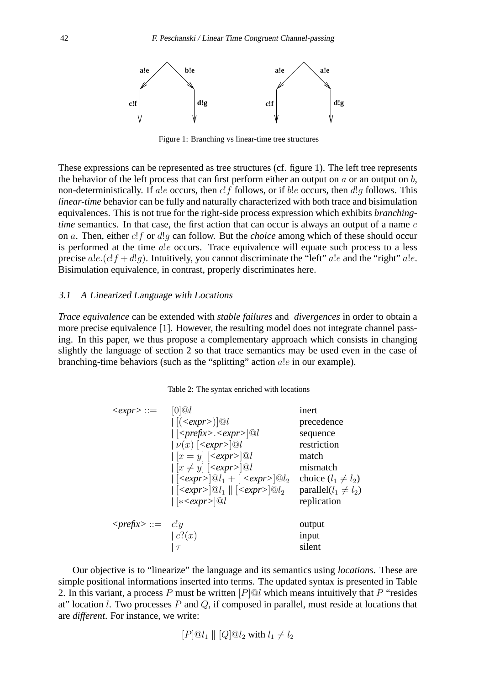

Figure 1: Branching vs linear-time tree structures

These expressions can be represented as tree structures (cf. figure 1). The left tree represents the behavior of the left process that can first perform either an output on  $a$  or an output on  $b$ , non-deterministically. If ale occurs, then  $c!f$  follows, or if ble occurs, then  $d!g$  follows. This *linear-time* behavior can be fully and naturally characterized with both trace and bisimulation equivalences. This is not true for the right-side process expression which exhibits *branchingtime* semantics. In that case, the first action that can occur is always an output of a name  $e$ on a. Then, either c!f or d!g can follow. But the *choice* among which of these should occur is performed at the time a.l.e occurs. Trace equivalence will equate such process to a less precise  $a!e.(c!f + d!q)$ . Intuitively, you cannot discriminate the "left" a!e and the "right" a!e. Bisimulation equivalence, in contrast, properly discriminates here.

# 3.1 <sup>A</sup> Linearized Language with Locations

*Trace equivalence* can be extended with *stable failures* and *divergences* in order to obtain a more precise equivalence [1]. However, the resulting model does not integrate channel passing. In this paper, we thus propose a complementary approach which consists in changing slightly the language of section 2 so that trace semantics may be used even in the case of branching-time behaviors (such as the "splitting" action a!e in our example).

## Table 2: The syntax enriched with locations

| $\langle expr \rangle ::=$                | $[0]$ @l                                                                                          | inert                      |
|-------------------------------------------|---------------------------------------------------------------------------------------------------|----------------------------|
|                                           | $\vert [(\langle expr \rangle)]@l$                                                                | precedence                 |
|                                           | $\vert \vert \langle \text{prefix} \rangle \langle \text{expr} \rangle \vert \mathcal{Q} \vert$   | sequence                   |
|                                           | $  \nu(x)   \langle expr \rangle   \&0$                                                           | restriction                |
|                                           | $\left  \left[ x = y \right] \right  \leq \exp\left  \left[ \odot \right] \right $                | match                      |
|                                           | $\left  \left[ x \neq y \right] \right  \leq \exp\left  \left[ \odot \right] \right $             | mismatch                   |
|                                           | $  \left[ \langle expr \rangle \right] @ l_1 + \left[ \langle expr \rangle \right] @ l_2$         | choice $(l_1 \neq l_2)$    |
|                                           | $  \left[ \langle expr \rangle \right] @ l_1 \parallel \left[ \langle expr \rangle \right] @ l_2$ | parallel( $l_1 \neq l_2$ ) |
|                                           | $\vert$ [* <expr><math>\vert \mathcal{Q}</math>l</expr>                                           | replication                |
|                                           |                                                                                                   |                            |
| $\langle \textit{prefix} \rangle ::= c!y$ |                                                                                                   | output                     |
|                                           | c(2(x) )                                                                                          | input                      |
|                                           | $\tau$                                                                                            | silent                     |

Our objective is to "linearize" the language and its semantics using *locations*. These are simple positional informations inserted into terms. The updated syntax is presented in Table 2. In this variant, a process P must be written  $[P]$  which means intuitively that P "resides" at" location *l*. Two processes  $P$  and  $Q$ , if composed in parallel, must reside at locations that are *different*. For instance, we write:

$$
[P]@l_1 \parallel [Q]@l_2 \text{ with } l_1 \neq l_2
$$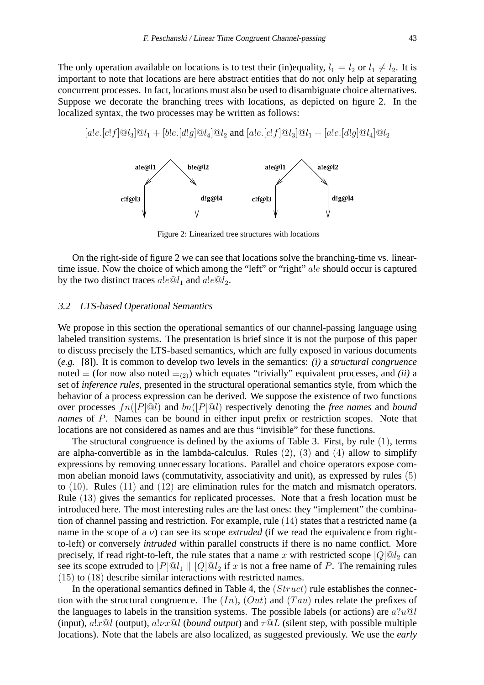The only operation available on locations is to test their (in)equality,  $l_1 = l_2$  or  $l_1 \neq l_2$ . It is important to note that locations are here abstract entities that do not only help at separating concurrent processes. In fact, locations must also be used to disambiguate choice alternatives. Suppose we decorate the branching trees with locations, as depicted on figure 2. In the localized syntax, the two processes may be written as follows:

 $[a!e.[c!f]@l_3@l_1 + [b!e.[d!g]@l_4@l_2$  and  $[a!e.[c!f]@l_3@l_1 + [a!e.[d!g]@l_4@l_2$ 



Figure 2: Linearized tree structures with locations

On the right-side of figure 2 we can see that locations solve the branching-time vs. lineartime issue. Now the choice of which among the "left" or "right" a!e should occur is captured by the two distinct traces  $a!e@l_1$  and  $a!e@l_2$ .

# 3.2 LTS-based Operational Semantics

We propose in this section the operational semantics of our channel-passing language using labeled transition systems. The presentation is brief since it is not the purpose of this paper to discuss precisely the LTS-based semantics, which are fully exposed in various documents (*e.g.* [8]). It is common to develop two levels in the semantics: *(i)* a *structural congruence* noted  $\equiv$  (for now also noted  $\equiv$ <sub>(2)</sub>) which equates "trivially" equivalent processes, and *(ii)* a set of *inference rules*, presented in the structural operational semantics style, from which the behavior of a process expression can be derived. We suppose the existence of two functions over processes fn([P]@l) and bn([P]@l) respectively denoting the *free names* and *bound names* of P. Names can be bound in either input prefix or restriction scopes. Note that locations are not considered as names and are thus "invisible" for these functions.

The structural congruence is defined by the axioms of Table 3. First, by rule (1), terms are alpha-convertible as in the lambda-calculus. Rules  $(2)$ ,  $(3)$  and  $(4)$  allow to simplify expressions by removing unnecessary locations. Parallel and choice operators expose common abelian monoid laws (commutativity, associativity and unit), as expressed by rules (5) to (10). Rules (11) and (12) are elimination rules for the match and mismatch operators. Rule (13) gives the semantics for replicated processes. Note that a fresh location must be introduced here. The most interesting rules are the last ones: they "implement" the combination of channel passing and restriction. For example, rule (14) states that a restricted name (a name in the scope of a  $\nu$ ) can see its scope *extruded* (if we read the equivalence from rightto-left) or conversely *intruded* within parallel constructs if there is no name conflict. More precisely, if read right-to-left, the rule states that a name x with restricted scope  $[Q] \textcircled a_2$  can see its scope extruded to  $[P]@l_1 \parallel [Q]@l_2$  if x is not a free name of P. The remaining rules (15) to (18) describe similar interactions with restricted names.

In the operational semantics defined in Table 4, the  $(Struct)$  rule establishes the connection with the structural congruence. The  $(In)$ ,  $(Out)$  and  $(Tau)$  rules relate the prefixes of the languages to labels in the transition systems. The possible labels (or actions) are  $a$ ?u@l (input),  $a!x@l$  (output),  $a!vx@l$  (*bound output*) and  $\tau@L$  (silent step, with possible multiple locations). Note that the labels are also localized, as suggested previously. We use the *early*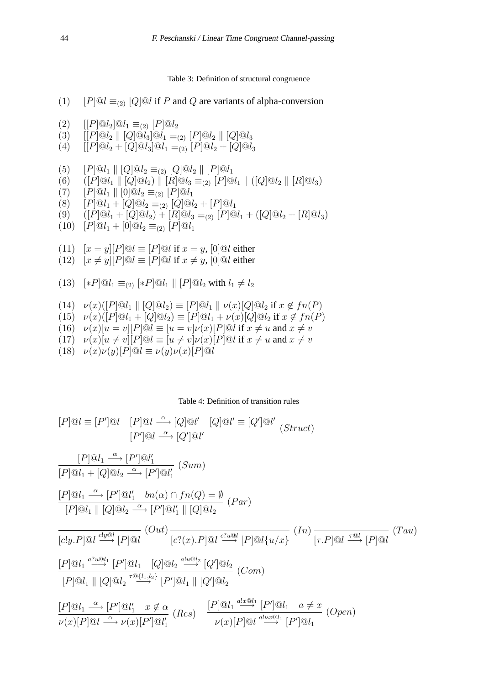Table 3: Definition of structural congruence

- (1)  $[P]@l \equiv_{(2)} [Q]@l$  if P and Q are variants of alpha-conversion
- (2)  $[|P]\mathbb{Q}l_2]\mathbb{Q}l_1 \equiv_{(2)} [P]\mathbb{Q}l_2$
- (3)  $[|P|@l_2] \ | [Q]@l_3]@l_1 \equiv_{(2)} [P]@l_2] \ | [Q]@l_3$
- (4)  $[|P]@l_2 + [Q]@l_3]@l_1 \equiv_{(2)} [P]@l_2 + [Q]@l_3$
- (5)  $[P]@l_1 \parallel [Q]@l_2 \equiv_{(2)} [Q]@l_2 \parallel [P]@l_1$
- (6)  $(|P|@l_1 || [Q]@l_2) || [R]@l_3 \equiv_{(2)} [P]@l_1 || ([Q]@l_2 || [R]@l_3)$
- (7)  $[P]@l_1 \parallel [0]@l_2 \equiv_{(2)} [P]@l_1$
- (8)  $[P]@l_1 + [Q]@l_2 \equiv_{(2)} [Q]@l_2 + [P]@l_1$
- (9)  $([P]\mathbb{Q}l_1 + [Q]\mathbb{Q}l_2) + [R]\mathbb{Q}l_3 \equiv_{(2)} [P]\mathbb{Q}l_1 + ([Q]\mathbb{Q}l_2 + [R]\mathbb{Q}l_3)$
- $(10)$   $[P]@l_1 + [0]@l_2 \equiv_{(2)} [P]@l_1$
- (11)  $[x = y][P]@l \equiv [P]@l$  if  $x = y$ ,  $[0]@l$  either
- (12)  $[x \neq y][P] @ l \equiv [P] @ l \text{ if } x \neq y, [0] @ l \text{ either}$

(13) 
$$
[*P]@l_1 \equiv_{(2)} [*P]@l_1 \parallel [P]@l_2
$$
 with  $l_1 \neq l_2$ 

- (14)  $\nu(x)([P]@l_1 \parallel [Q]@l_2) \equiv [P]@l_1 \parallel \nu(x)[Q]@l_2$  if  $x \notin fn(P)$
- (15)  $\nu(x)([P]@l_1 + [Q]@l_2) \equiv [P]@l_1 + \nu(x)[Q]@l_2$  if  $x \notin fn(P)$
- (16)  $\nu(x)[u = v][P]@l \equiv [u = v]\nu(x)[P]@l$  if  $x \neq u$  and  $x \neq v$
- (17)  $\nu(x)[u \neq v][P] \otimes l \equiv [u \neq v]\nu(x)[P] \otimes l \text{ if } x \neq u \text{ and } x \neq v$
- (18)  $\nu(x)\nu(y)[P]@l \equiv \nu(y)\nu(x)[P]@l$

Table 4: Definition of transition rules

$$
[P]\textcircled{a}l = [P']\textcircled{a}l \quad [P]\textcircled{a}l \stackrel{\alpha}{\longrightarrow} [Q]\textcircled{a}l' \quad [Q']\textcircled{a}l' = [Q']\textcircled{a}l' \quad (Struct)
$$
\n
$$
[P]\textcircled{a}l_1 \stackrel{\alpha}{\longrightarrow} [P']\textcircled{a}l'_1
$$
\n
$$
[P]\textcircled{a}l_1 + [Q]\textcircled{a}l_2 \stackrel{\alpha}{\longrightarrow} [P']\textcircled{a}l'_1
$$
\n
$$
[P]\textcircled{a}l_1 + [Q]\textcircled{a}l_2 \stackrel{\alpha}{\longrightarrow} [P']\textcircled{a}l'_1
$$
\n
$$
[P]\textcircled{a}l_1 \parallel [Q]\textcircled{a}l_2 \stackrel{\alpha}{\longrightarrow} [P']\textcircled{a}l'_1 \parallel [Q]\textcircled{a}l_2
$$
\n
$$
\frac{[C!g] \cdot P]\textcircled{a}l \stackrel{\text{clig}}{\longrightarrow} [P]\textcircled{a}l' \quad [C!(x).P]\textcircled{a}l \stackrel{\text{clig}}{\longrightarrow} [P]\textcircled{a}l \quad (In)
$$
\n
$$
[P]\textcircled{a}l_1 \stackrel{\text{clig}}{\longrightarrow} [P']\textcircled{a}l_1 \quad [Q]\textcircled{a}l_2 \stackrel{\text{clig}}{\longrightarrow} [Q']\textcircled{a}l_2
$$
\n
$$
[P]\textcircled{a}l_1 \parallel [Q]\textcircled{a}l_2 \stackrel{\text{clig}}{\longrightarrow} [P']\textcircled{a}l_1 \parallel [Q']\textcircled{a}l_2
$$
\n
$$
[P]\textcircled{a}l_1 \parallel [Q]\textcircled{a}l_2 \stackrel{\text{clig}}{\longrightarrow} [P']\textcircled{a}l_1 \parallel [Q']\textcircled{a}l_2
$$
\n
$$
[P]\textcircled{a}l_1 \stackrel{\alpha}{\longrightarrow} [P']\textcircled{a}l'_1 \quad x \notin \alpha
$$
\n
$$
[P]\textcircled{a}l_1 \stackrel{\text{clig}}{\longrightarrow} [P']\textcircled{a}l'_1 \stackrel{\text{clig}}{\longrightarrow} [P']
$$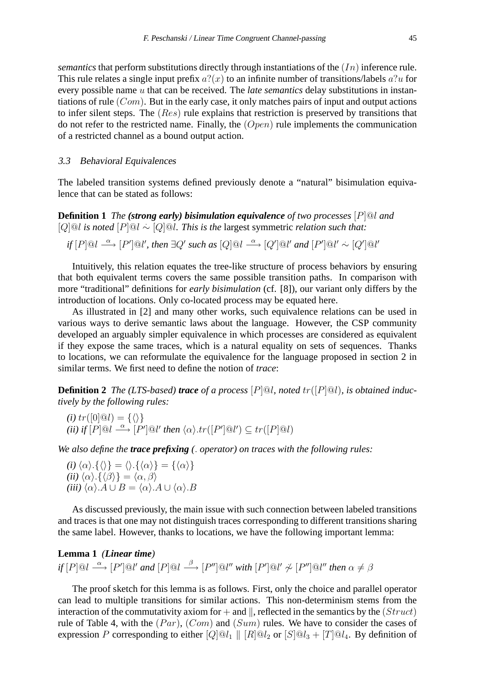*semantics* that perform substitutions directly through instantiations of the  $(In)$  inference rule. This rule relates a single input prefix  $a?(\alpha)$  to an infinite number of transitions/labels  $a?\alpha$  for every possible name u that can be received. The *late semantics* delay substitutions in instantiations of rule  $(Com)$ . But in the early case, it only matches pairs of input and output actions to infer silent steps. The (Res) rule explains that restriction is preserved by transitions that do not refer to the restricted name. Finally, the  $(Dpen)$  rule implements the communication of a restricted channel as a bound output action.

# 3.3 Behavioral Equivalences

The labeled transition systems defined previously denote a "natural" bisimulation equivalence that can be stated as follows:

**Definition 1** *The (strong early) bisimulation equivalence of two processes* [P]@l *and* [Q]@l *is noted* [P]@l .∼ [Q]@l*. This is the* largest symmetric *relation such that:*

if 
$$
[P]
$$
 @ $l \xrightarrow{\alpha}$   $[P']$  @ $l'$ , then  $\exists Q'$  such as  $[Q]$  @ $l \xrightarrow{\alpha}$   $[Q']$  @ $l'$  and  $[P']$  @ $l' \sim [Q']$  @ $l'$ 

Intuitively, this relation equates the tree-like structure of process behaviors by ensuring that both equivalent terms covers the same possible transition paths. In comparison with more "traditional" definitions for *early bisimulation* (cf. [8]), our variant only differs by the introduction of locations. Only co-located process may be equated here.

As illustrated in [2] and many other works, such equivalence relations can be used in various ways to derive semantic laws about the language. However, the CSP community developed an arguably simpler equivalence in which processes are considered as equivalent if they expose the same traces, which is a natural equality on sets of sequences. Thanks to locations, we can reformulate the equivalence for the language proposed in section 2 in similar terms. We first need to define the notion of *trace*:

**Definition 2** *The (LTS-based) trace* of a process  $[P]$ <sup> $\mathcal{Q}l$ </sup>*, noted*  $tr([P] \mathcal{Q}l)$ *, is obtained inductively by the following rules:*

(i) 
$$
tr([0]\textcircled{a}l) = {\langle \rangle}
$$
  
(ii) if  $[P]\textcircled{a}l \xrightarrow{\alpha} [P']\textcircled{a}l'$  then  $\langle \alpha \rangle .tr([P']\textcircled{a}l') \subseteq tr([P]\textcircled{a}l)$ 

*We also define the trace prefixing (*. *operator) on traces with the following rules:*

*(i)*  $\langle \alpha \rangle$  { $\langle \rangle$ } =  $\langle \rangle$  { $\langle \alpha \rangle$ } = { $\langle \alpha \rangle$ } *(ii)*  $\langle \alpha \rangle$   $\{ \langle \beta \rangle \} = \langle \alpha, \beta \rangle$ *(iii)*  $\langle \alpha \rangle A \cup B = \langle \alpha \rangle A \cup \langle \alpha \rangle B$ 

As discussed previously, the main issue with such connection between labeled transitions and traces is that one may not distinguish traces corresponding to different transitions sharing the same label. However, thanks to locations, we have the following important lemma:

# **Lemma 1** *(Linear time)*  $if [P] @ l \stackrel{\alpha}{\longrightarrow} [P'] @ l'$  and  $[P] @ l \stackrel{\beta}{\longrightarrow} [P''] @ l''$  with  $[P'] @ l' \not\sim [P''] @ l''$  then  $\alpha \neq \beta$

The proof sketch for this lemma is as follows. First, only the choice and parallel operator can lead to multiple transitions for similar actions. This non-determinism stems from the interaction of the commutativity axiom for  $+$  and  $\parallel$ , reflected in the semantics by the (*Struct*) rule of Table 4, with the  $(Par)$ ,  $(Com)$  and  $(Sum)$  rules. We have to consider the cases of expression P corresponding to either  $[Q]@l_1 \parallel [R]@l_2$  or  $[S]@l_3 + [T]@l_4$ . By definition of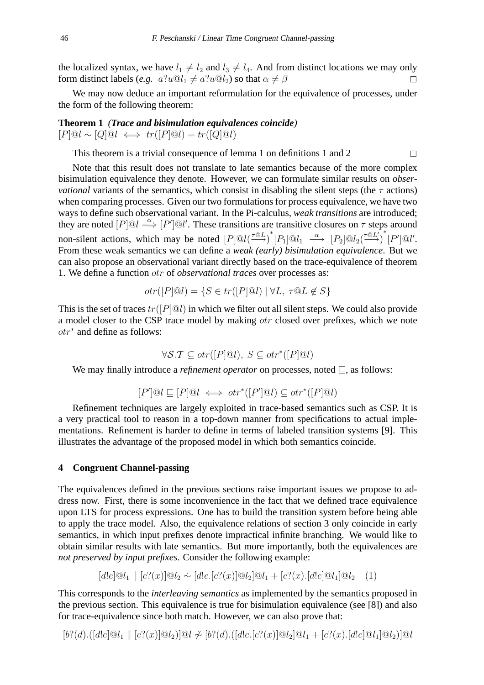the localized syntax, we have  $l_1 \neq l_2$  and  $l_3 \neq l_4$ . And from distinct locations we may only form distinct labels (*e.g.*  $a?u@l_1 \neq a?u@l_2$ ) so that  $\alpha \neq \beta$ 

We may now deduce an important reformulation for the equivalence of processes, under the form of the following theorem:

**Theorem 1** *(Trace and bisimulation equivalences coincide)*  $[P] @ l \sim [Q] @ l \iff tr([P] @ l) = tr([Q] @ l)$ 

This theorem is a trivial consequence of lemma 1 on definitions 1 and 2  $\Box$ 

Note that this result does not translate to late semantics because of the more complex bisimulation equivalence they denote. However, we can formulate similar results on *observational* variants of the semantics, which consist in disabling the silent steps (the  $\tau$  actions) when comparing processes. Given our two formulations for process equivalence, we have two ways to define such observational variant. In the Pi-calculus, *weak transitions* are introduced; they are noted  $[P] @ l \stackrel{\alpha}{\Longrightarrow} [P'] @ l'.$  These transitions are transitive closures on  $\tau$  steps around non-silent actions, which may be noted  $[P] @ l({\tau \otimes L \over \to})^*[P_1] @ l_1 \xrightarrow{\alpha} [P_2] @ l_2({\tau \otimes L' \over \to})^*[P'] @ l'.$ From these weak semantics we can define a *weak (early) bisimulation equivalence*. But we can also propose an observational variant directly based on the trace-equivalence of theorem 1. We define a function otr of *observational traces* over processes as:

$$
otr([P]@l) = \{ S \in tr([P]@l) \mid \forall L, \ \tau @ L \notin S \}
$$

This is the set of traces  $tr([P] \otimes l)$  in which we filter out all silent steps. We could also provide a model closer to the CSP trace model by making otr closed over prefixes, which we note otr<sup>∗</sup> and define as follows:

$$
\forall \mathcal{S}.\mathcal{T} \subseteq \text{otr}([P \mid \mathcal{Q}l), S \subseteq \text{otr}^*([P \mid \mathcal{Q}l)]
$$

We may finally introduce a *refinement operator* on processes, noted  $\subseteq$ , as follows:

$$
[P']@l \sqsubseteq [P]@l \iff \text{otr}^*([P']@l) \subseteq \text{otr}^*([P]@l)
$$

Refinement techniques are largely exploited in trace-based semantics such as CSP. It is a very practical tool to reason in a top-down manner from specifications to actual implementations. Refinement is harder to define in terms of labeled transition systems [9]. This illustrates the advantage of the proposed model in which both semantics coincide.

# **4 Congruent Channel-passing**

The equivalences defined in the previous sections raise important issues we propose to address now. First, there is some inconvenience in the fact that we defined trace equivalence upon LTS for process expressions. One has to build the transition system before being able to apply the trace model. Also, the equivalence relations of section 3 only coincide in early semantics, in which input prefixes denote impractical infinite branching. We would like to obtain similar results with late semantics. But more importantly, both the equivalences are *not preserved by input prefixes*. Consider the following example:

$$
[d!e]@l_1 \parallel [c?(x)]@l_2 \sim [d!e.[c?(x)]@l_2]@l_1 + [c?(x).[d!e]@l_1]@l_2 \quad (1)
$$

This corresponds to the *interleaving semantics* as implemented by the semantics proposed in the previous section. This equivalence is true for bisimulation equivalence (see [8]) and also for trace-equivalence since both match. However, we can also prove that:

 $[b? (d).([d!e]@l_1 \parallel [c? (x)]@l_2)]@l \nless [b? (d).([d!e.[c? (x)]@l_2]@l_1 + [c? (x).[d!e]@l_1]@l_2)]@l$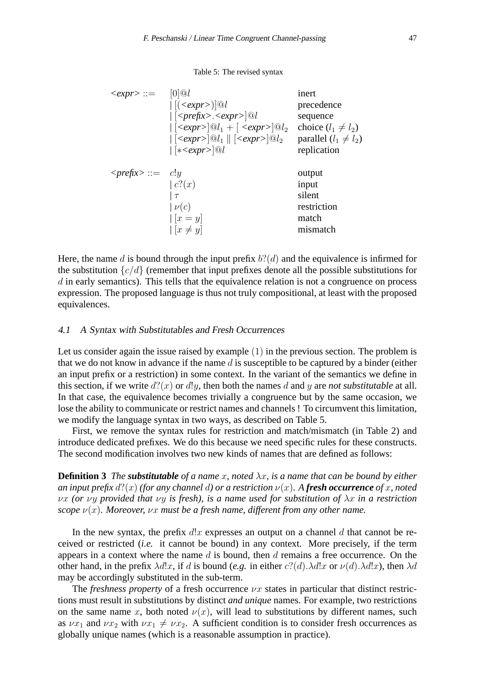#### Table 5: The revised syntax

| $\langle \textit{expr} \rangle ::=$       | $[0]$ <sup><math>\odot</math></sup>                                                               | inert                     |
|-------------------------------------------|---------------------------------------------------------------------------------------------------|---------------------------|
|                                           | $\vert [(\langle expr \rangle)]@l$                                                                | precedence                |
|                                           | $\vert \vert \langle \text{prefix} \rangle \langle \text{expr} \rangle \vert \mathcal{Q} \vert$   | sequence                  |
|                                           | $  \left[ \langle expr \rangle \right] @ l_1 + \left[ \langle expr \rangle \right] @ l_2$         | choice $(l_1 \neq l_2)$   |
|                                           | $  \left[ \langle expr \rangle \right] @ l_1 \parallel \left[ \langle expr \rangle \right] @ l_2$ | parallel $(l_1 \neq l_2)$ |
|                                           | $ \left[ *<\exp r\right> \mathbb{Q}l$                                                             | replication               |
|                                           |                                                                                                   |                           |
| $\langle \textit{prefix} \rangle ::= c!y$ |                                                                                                   | output                    |
|                                           | c(0x)                                                                                             | input                     |
|                                           | $\tau$                                                                                            | silent                    |
|                                           | $ \nu(c) $                                                                                        | restriction               |
|                                           |                                                                                                   |                           |
|                                           | $[x = y]$                                                                                         | match                     |

Here, the name d is bound through the input prefix  $b?$  (d) and the equivalence is infirmed for the substitution  ${c/d}$  (remember that input prefixes denote all the possible substitutions for  $d$  in early semantics). This tells that the equivalence relation is not a congruence on process expression. The proposed language is thus not truly compositional, at least with the proposed equivalences.

# 4.1 <sup>A</sup> Syntax with Substitutables and Fresh Occurrences

Let us consider again the issue raised by example (1) in the previous section. The problem is that we do not know in advance if the name  $d$  is susceptible to be captured by a binder (either an input prefix or a restriction) in some context. In the variant of the semantics we define in this section, if we write  $d'(x)$  or  $d(y)$ , then both the names d and y are *not substitutable* at all. In that case, the equivalence becomes trivially a congruence but by the same occasion, we lose the ability to communicate or restrict names and channels ! To circumvent this limitation, we modify the language syntax in two ways, as described on Table 5.

First, we remove the syntax rules for restriction and match/mismatch (in Table 2) and introduce dedicated prefixes. We do this because we need specific rules for these constructs. The second modification involves two new kinds of names that are defined as follows:

**Definition 3** *The substitutable of a name x, noted*  $\lambda x$ *, is a name that can be bound by either an input prefix*  $d'(x)$  *(for any channel d) or a restriction*  $\nu(x)$ *. A fresh occurrence of* x, noted νx *(or* νy *provided that* νy *is fresh), is a name used for substitution of* λx *in a restriction scope*  $\nu(x)$ *. Moreover, vx must be a fresh name, different from any other name.* 

In the new syntax, the prefix  $d!x$  expresses an output on a channel  $d$  that cannot be received or restricted (*i.e.* it cannot be bound) in any context. More precisely, if the term appears in a context where the name  $d$  is bound, then  $d$  remains a free occurrence. On the other hand, in the prefix  $\lambda d!x$ , if d is bound (*e.g.* in either  $c?(\tilde{d}) \cdot \lambda d!x$  or  $\nu(\tilde{d}) \cdot \lambda d!x$ ), then  $\lambda d$ may be accordingly substituted in the sub-term.

The *freshness property* of a fresh occurrence  $\nu x$  states in particular that distinct restrictions must result in substitutions by distinct *and unique* names. For example, two restrictions on the same name x, both noted  $\nu(x)$ , will lead to substitutions by different names, such as  $\nu x_1$  and  $\nu x_2$  with  $\nu x_1 \neq \nu x_2$ . A sufficient condition is to consider fresh occurrences as globally unique names (which is a reasonable assumption in practice).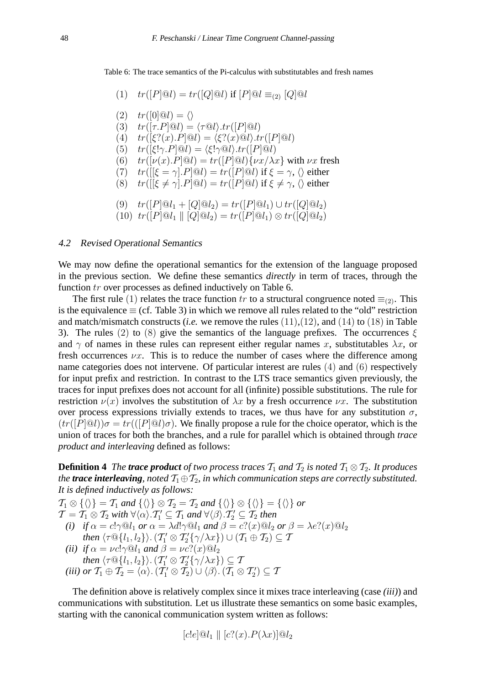Table 6: The trace semantics of the Pi-calculus with substitutables and fresh names

(1) 
$$
tr([P] \otimes l) = tr([Q] \otimes l)
$$
 if  $[P] \otimes l \equiv_{(2)} [Q] \otimes l$ 

$$
(2) \quad tr([0] \textcircled{u}) = \langle \rangle
$$

- (3)  $tr([\tau.P]@l) = \langle \tau @l \rangle tr([P]@l)$
- (4)  $tr([\xi?(x).P]@l) = \langle \xi?(x)@l \rangle tr([P]@l)$
- (5)  $tr([\xi! \gamma.P] @l) = \langle \xi! \gamma @l \rangle tr([P] @l)$
- (6)  $tr([\nu(x).P]@l) = tr([P]@l){\nu x/\lambda x}$  with  $\nu x$  fresh
- (7)  $tr([[ \xi = \gamma] \cdot P] @l) = tr([P] @l)$  if  $\xi = \gamma$ ,  $\langle \rangle$  either
- (8)  $tr([{\xi \neq \gamma}].P]@l) = tr([P]@l)$  if  ${\xi \neq \gamma}$ ,  ${\langle}$  either

$$
(9) \quad tr([P]@l_1 + [Q]@l_2) = tr([P]@l_1) \cup tr([Q]@l_2)
$$

(10) 
$$
tr([P]@l_1 \rVert [Q]@l_2) = tr([P]@l_1) \otimes tr([Q]@l_2)
$$

# 4.2 Revised Operational Semantics

We may now define the operational semantics for the extension of the language proposed in the previous section. We define these semantics *directly* in term of traces, through the function tr over processes as defined inductively on Table 6.

The first rule (1) relates the trace function tr to a structural congruence noted  $\equiv_{(2)}$ . This is the equivalence  $\equiv$  (cf. Table 3) in which we remove all rules related to the "old" restriction and match/mismatch constructs *(i.e.* we remove the rules  $(11),(12)$ , and  $(14)$  to  $(18)$  in Table 3). The rules (2) to (8) give the semantics of the language prefixes. The occurrences  $\xi$ and  $\gamma$  of names in these rules can represent either regular names x, substitutables  $\lambda x$ , or fresh occurrences  $\nu x$ . This is to reduce the number of cases where the difference among name categories does not intervene. Of particular interest are rules (4) and (6) respectively for input prefix and restriction. In contrast to the LTS trace semantics given previously, the traces for input prefixes does not account for all (infinite) possible substitutions. The rule for restriction  $\nu(x)$  involves the substitution of  $\lambda x$  by a fresh occurrence  $\nu x$ . The substitution over process expressions trivially extends to traces, we thus have for any substitution  $\sigma$ ,  $(tr([P] \mathbb{Q}l))\sigma = tr([P] \mathbb{Q}l)\sigma)$ . We finally propose a rule for the choice operator, which is the union of traces for both the branches, and a rule for parallel which is obtained through *trace product and interleaving* defined as follows:

**Definition 4** *The trace product of two process traces*  $T_1$  *and*  $T_2$  *is noted*  $T_1 \otimes T_2$ *. It produces the trace interleaving, noted*  $T_1 \oplus T_2$ *, in which communication steps are correctly substituted. It is defined inductively as follows:*

 $\mathcal{T}_1 \otimes \{\langle \rangle\} = \mathcal{T}_1$  *and*  $\{\langle \rangle\} \otimes \mathcal{T}_2 = \mathcal{T}_2$  *and*  $\{\langle \rangle\} \otimes \{\langle \rangle\} = \{\langle \rangle\}$  *or*  $\mathcal{T} = \mathcal{T}_1 \otimes \mathcal{T}_2$  with  $\forall \langle \alpha \rangle . \mathcal{T}'_1 \subseteq \mathcal{T}_1$  and  $\forall \langle \beta \rangle . \mathcal{T}'_2 \subseteq \mathcal{T}_2$  then *(i) if*  $\alpha = c! \gamma \mathbb{Q}l_1$  *or*  $\alpha = \lambda d! \gamma \mathbb{Q}l_1$  *and*  $\beta = c?(\alpha) \mathbb{Q}l_2$  *or*  $\beta = \lambda e?(\alpha) \mathbb{Q}l_2$ then  $\langle \tau @ \{l_1, l_2\} \rangle$ .  $({\mathcal T}_1' \otimes {\mathcal T}_2' \{\gamma/\lambda x\}) \cup ({\mathcal T}_1 \oplus {\mathcal T}_2) \subseteq {\mathcal T}$ *(ii) if*  $\alpha = \nu c! \gamma \mathcal{Q}l_1$  *and*  $\beta = \nu c?(\alpha) \mathcal{Q}l_2$ then  $\langle \tau \mathbb{Q} \{l_1, l_2\} \rangle$ .  $(\mathcal{T}_1' \otimes \mathcal{T}_2' \{\gamma/\lambda x\}) \subseteq \mathcal{T}_1$ *(iii) or*  $\mathcal{T}_1 \oplus \mathcal{T}_2 = \langle \alpha \rangle$ .  $(\mathcal{T}_1' \otimes \mathcal{T}_2) \cup \langle \beta \rangle$ .  $(\mathcal{T}_1 \otimes \mathcal{T}_2') \subseteq \mathcal{T}$ 

The definition above is relatively complex since it mixes trace interleaving (case *(iii)*) and communications with substitution. Let us illustrate these semantics on some basic examples, starting with the canonical communication system written as follows:

$$
[c!e]@l_1 \parallel [c?(x).P(\lambda x)]@l_2
$$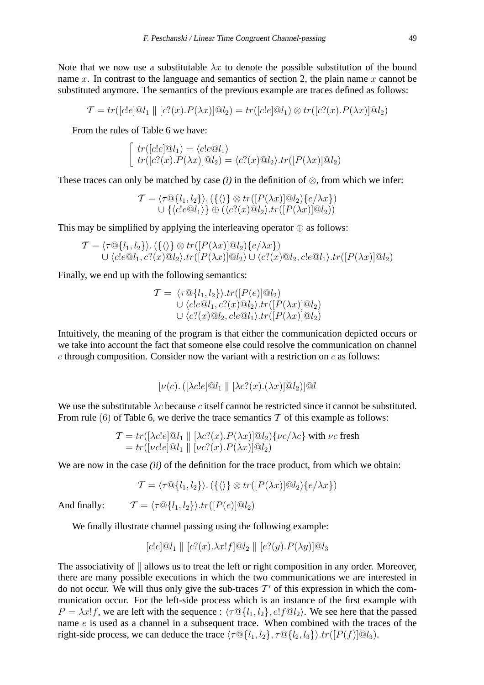Note that we now use a substitutable  $\lambda x$  to denote the possible substitution of the bound name x. In contrast to the language and semantics of section 2, the plain name  $x$  cannot be substituted anymore. The semantics of the previous example are traces defined as follows:

$$
\mathcal{T} = tr([c!e] \otimes l_1 \parallel [c?(x).P(\lambda x)] \otimes l_2) = tr([c!e] \otimes l_1) \otimes tr([c?(x).P(\lambda x)] \otimes l_2)
$$

From the rules of Table 6 we have:

$$
\begin{cases}\ntr([c!e]\mathbb{Q}l_1) = \langle c!e\mathbb{Q}l_1 \rangle \\
tr([c?(x).P(\lambda x)]\mathbb{Q}l_2) = \langle c?(x)\mathbb{Q}l_2 \rangle .\ntr([P(\lambda x)]\mathbb{Q}l_2)\n\end{cases}
$$

These traces can only be matched by case  $(i)$  in the definition of  $\otimes$ , from which we infer:

$$
\mathcal{T} = \langle \tau \mathbb{Q} \{l_1, l_2\} \rangle. (\{\langle\rangle\} \otimes tr([P(\lambda x)] \mathbb{Q}l_2) \{e/\lambda x\})
$$
  

$$
\cup \{ \langle c!e \mathbb{Q}l_1 \rangle \} \oplus (\langle c?(x) \mathbb{Q}l_2 \rangle . tr([P(\lambda x)] \mathbb{Q}l_2))
$$

This may be simplified by applying the interleaving operator  $\oplus$  as follows:

$$
\mathcal{T} = \langle \tau \mathbb{Q} \{l_1, l_2\} \rangle \cdot (\{\langle \rangle\} \otimes tr([P(\lambda x)] \mathbb{Q}l_2) \{e/\lambda x\})
$$
  

$$
\cup \langle c!e \mathbb{Q}l_1, c?(x) \mathbb{Q}l_2 \rangle \cdot tr([P(\lambda x)] \mathbb{Q}l_2) \cup \langle c?(x) \mathbb{Q}l_2, c!e \mathbb{Q}l_1 \rangle \cdot tr([P(\lambda x)] \mathbb{Q}l_2)
$$

Finally, we end up with the following semantics:

$$
\mathcal{T} = \langle \tau \mathbf{Q} \{l_1, l_2\} \rangle \cdot tr([P(e)] \mathbf{Q}_2)
$$
  
\n
$$
\cup \langle c!e \mathbf{Q}l_1, c?(\mathbf{x}) \mathbf{Q}l_2 \rangle \cdot tr([P(\lambda \mathbf{x})] \mathbf{Q}l_2)
$$
  
\n
$$
\cup \langle c?(\mathbf{x}) \mathbf{Q}l_2, c!e \mathbf{Q}l_1 \rangle \cdot tr([P(\lambda \mathbf{x})] \mathbf{Q}l_2)
$$

Intuitively, the meaning of the program is that either the communication depicted occurs or we take into account the fact that someone else could resolve the communication on channel  $c$  through composition. Consider now the variant with a restriction on  $c$  as follows:

 $[\nu(c),([\lambda c!e] \mathcal{Q}_l, \parallel [\lambda c?(x),(\lambda x)] \mathcal{Q}_l,]]\mathcal{Q}_l]$ 

We use the substitutable  $\lambda c$  because c itself cannot be restricted since it cannot be substituted. From rule (6) of Table 6, we derive the trace semantics  $T$  of this example as follows:

$$
\mathcal{T} = tr([\lambda c!e]@l_1 \parallel [\lambda c?(x).P(\lambda x)]@l_2)\{\nu c/\lambda c\} \text{ with } \nu c \text{ fresh}
$$
  
=  $tr([\nu c!e]@l_1 \parallel [\nu c?(x).P(\lambda x)]@l_2)$ 

We are now in the case *(ii)* of the definition for the trace product, from which we obtain:

$$
\mathcal{T} = \langle \tau \mathbb{Q}\{l_1, l_2\} \rangle. (\{\langle \rangle\} \otimes tr([P(\lambda x)] \mathbb{Q}l_2)\{e/\lambda x\})
$$

And finally:  $\mathcal{T} = \langle \tau \mathbb{Q} \{l_1, l_2\} \rangle . \text{tr}([P(e)] \mathbb{Q}l_2)$ 

We finally illustrate channel passing using the following example:

$$
[c!e]@l_1 \parallel [c?(x).\lambda x!f]@l_2 \parallel [e?(y).P(\lambda y)]@l_3
$$

The associativity of  $\parallel$  allows us to treat the left or right composition in any order. Moreover, there are many possible executions in which the two communications we are interested in do not occur. We will thus only give the sub-traces  $T'$  of this expression in which the communication occur. For the left-side process which is an instance of the first example with  $P = \lambda x! f$ , we are left with the sequence :  $\langle \tau \mathbb{Q} \{l_1, l_2\}, e! f \mathbb{Q}l_2 \rangle$ . We see here that the passed name e is used as a channel in a subsequent trace. When combined with the traces of the right-side process, we can deduce the trace  $\langle \tau \mathbb{Q} \{l_1, l_2\}, \tau \mathbb{Q} \{l_2, l_3\} \rangle \cdot tr([P(f)] \mathbb{Q}l_3)$ .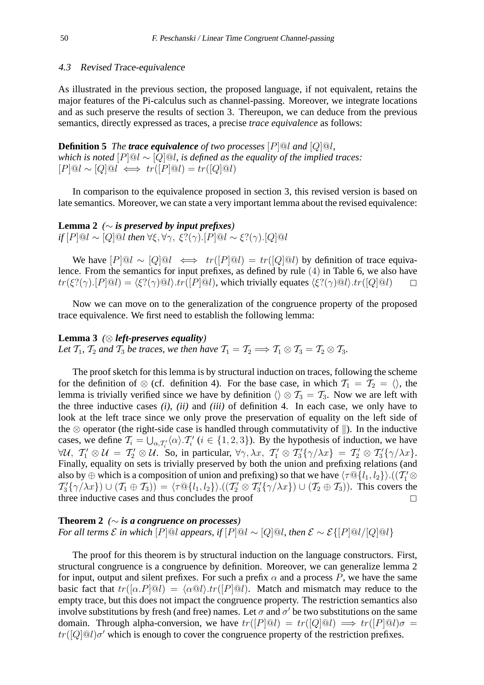# 4.3 Revised Trace-equivalence

As illustrated in the previous section, the proposed language, if not equivalent, retains the major features of the Pi-calculus such as channel-passing. Moreover, we integrate locations and as such preserve the results of section 3. Thereupon, we can deduce from the previous semantics, directly expressed as traces, a precise *trace equivalence* as follows:

**Definition 5** *The trace equivalence of two processes* [P]@l *and* [Q]@l*, which is noted* [P]@l ∼ [Q]@l*, is defined as the equality of the implied traces:*  $[P] @ l \sim [Q] @ l \iff tr([P] @ l) = tr([Q] @ l)$ 

In comparison to the equivalence proposed in section 3, this revised version is based on late semantics. Moreover, we can state a very important lemma about the revised equivalence:

Lemma 2  $\left(\sim$  *is preserved by input prefixes if*  $[P] @ l \sim [Q] @ l \text{ then } \forall \xi, \forall \gamma, \xi?(\gamma) . [P] @ l \sim \xi?(\gamma) . [Q] @ l$ 

We have  $[P] @ l \sim [Q] @ l \iff tr([P] @ l) = tr([Q] @ l)$  by definition of trace equivalence. From the semantics for input prefixes, as defined by rule (4) in Table 6, we also have  $tr(\xi?(\gamma).[P]@l) = \langle \xi?(\gamma)@l \rangle \cdot tr([P]@l)$ , which trivially equates  $\langle \xi?(\gamma)@l \rangle \cdot tr([Q]@l)$ 

Now we can move on to the generalization of the congruence property of the proposed trace equivalence. We first need to establish the following lemma:

**Lemma 3** *(*⊗ *left-preserves equality) Let*  $\mathcal{T}_1$ *,*  $\mathcal{T}_2$  *and*  $\mathcal{T}_3$  *be traces, we then have*  $\mathcal{T}_1 = \mathcal{T}_2 \Longrightarrow \mathcal{T}_1 \otimes \mathcal{T}_3 = \mathcal{T}_2 \otimes \mathcal{T}_3$ *.* 

The proof sketch for this lemma is by structural induction on traces, following the scheme for the definition of  $\otimes$  (cf. definition 4). For the base case, in which  $\mathcal{T}_1 = \mathcal{T}_2 = \langle \rangle$ , the lemma is trivially verified since we have by definition  $\langle \rangle \otimes T_3 = T_3$ . Now we are left with the three inductive cases *(i)*, *(ii)* and *(iii)* of definition 4. In each case, we only have to look at the left trace since we only prove the preservation of equality on the left side of the  $\otimes$  operator (the right-side case is handled through commutativity of  $\parallel$ ). In the inductive cases, we define  $\mathcal{T}_i = \bigcup_{\alpha, \mathcal{T}'_i} \langle \alpha \rangle \cdot \mathcal{T}'_i$  ( $i \in \{1, 2, 3\}$ ). By the hypothesis of induction, we have  $\forall u, T'_1 \otimes u = T'_2 \otimes u$ . So, in particular,  $\forall \gamma, \lambda x, T'_1 \otimes T'_3 \{\gamma/\lambda x\} = T'_2 \otimes T'_3 \{\gamma/\lambda x\}.$ Finally, equality on sets is trivially preserved by both the union and prefixing relations (and also by  $\oplus$  which is a composition of union and prefixing) so that we have  $\langle \tau @ \{l_1,l_2\} \rangle. ((\mathcal{T}_1' \otimes$  $T_3' \{\gamma/\lambda x\}$   $\cup$   $(T_1 \oplus T_3)$  =  $\langle \tau \mathbb{Q} \{l_1, l_2\} \rangle$ . $((T_2' \otimes T_3' \{\gamma/\lambda x\}) \cup (T_2 \oplus T_3))$ . This covers the three inductive cases and thus concludes the proof

# **Theorem 2** *(*∼ *is a congruence on processes) For all terms*  $\mathcal E$  *in which*  $[P]@l$  *appears, if*  $[P]@l \sim [Q]@l$ *, then*  $\mathcal E \sim \mathcal E\{[P]@l/[Q]@l\}$

The proof for this theorem is by structural induction on the language constructors. First, structural congruence is a congruence by definition. Moreover, we can generalize lemma 2 for input, output and silent prefixes. For such a prefix  $\alpha$  and a process P, we have the same basic fact that  $tr([\alpha.P]\textcircled{a}l) = \langle \alpha \textcircled{a}l \rangle tr([P]\textcircled{a}l)$ . Match and mismatch may reduce to the empty trace, but this does not impact the congruence property. The restriction semantics also involve substitutions by fresh (and free) names. Let  $\sigma$  and  $\sigma'$  be two substitutions on the same domain. Through alpha-conversion, we have  $tr([P] \otimes l) = tr([Q] \otimes l) \implies tr([P] \otimes l) \sigma =$  $tr([Q]@l)\sigma'$  which is enough to cover the congruence property of the restriction prefixes.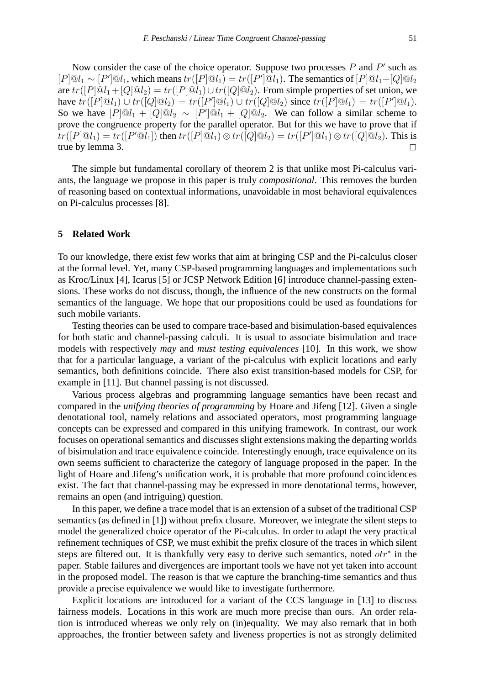Now consider the case of the choice operator. Suppose two processes  $P$  and  $P'$  such as  $[P]@l_1 \sim [P']@l_1$ , which means  $tr([P]@l_1) = tr([P']@l_1)$ . The semantics of  $[P]@l_1 + [Q]@l_2$ are  $tr([P]@l_1 + [Q]@l_2) = tr([P]@l_1) \cup tr([Q]@l_2)$ . From simple properties of set union, we have  $tr([P]@l_1) \cup tr([Q]@l_2) = tr([P']@l_1) \cup tr([Q]@l_2)$  since  $tr([P]@l_1) = tr([P']@l_1)$ . So we have  $[P]@l_1 + [Q]@l_2 \sim [P']@l_1 + [Q]@l_2$ . We can follow a similar scheme to prove the congruence property for the parallel operator. But for this we have to prove that if  $tr([P]@l_1) = tr([P'@l_1])$  then  $tr([P]@l_1) \otimes tr([Q]@l_2) = tr([P']@l_1) \otimes tr([Q]@l_2)$ . This is true by lemma 3.

The simple but fundamental corollary of theorem 2 is that unlike most Pi-calculus variants, the language we propose in this paper is truly *compositional*. This removes the burden of reasoning based on contextual informations, unavoidable in most behavioral equivalences on Pi-calculus processes [8].

## **5 Related Work**

To our knowledge, there exist few works that aim at bringing CSP and the Pi-calculus closer at the formal level. Yet, many CSP-based programming languages and implementations such as Kroc/Linux [4], Icarus [5] or JCSP Network Edition [6] introduce channel-passing extensions. These works do not discuss, though, the influence of the new constructs on the formal semantics of the language. We hope that our propositions could be used as foundations for such mobile variants.

Testing theories can be used to compare trace-based and bisimulation-based equivalences for both static and channel-passing calculi. It is usual to associate bisimulation and trace models with respectively *may* and *must testing equivalences* [10]. In this work, we show that for a particular language, a variant of the pi-calculus with explicit locations and early semantics, both definitions coincide. There also exist transition-based models for CSP, for example in [11]. But channel passing is not discussed.

Various process algebras and programming language semantics have been recast and compared in the *unifying theories of programming* by Hoare and Jifeng [12]. Given a single denotational tool, namely relations and associated operators, most programming language concepts can be expressed and compared in this unifying framework. In contrast, our work focuses on operational semantics and discusses slight extensions making the departing worlds of bisimulation and trace equivalence coincide. Interestingly enough, trace equivalence on its own seems sufficient to characterize the category of language proposed in the paper. In the light of Hoare and Jifeng's unification work, it is probable that more profound coincidences exist. The fact that channel-passing may be expressed in more denotational terms, however, remains an open (and intriguing) question.

In this paper, we define a trace model that is an extension of a subset of the traditional CSP semantics (as defined in [1]) without prefix closure. Moreover, we integrate the silent steps to model the generalized choice operator of the Pi-calculus. In order to adapt the very practical refinement techniques of CSP, we must exhibit the prefix closure of the traces in which silent steps are filtered out. It is thankfully very easy to derive such semantics, noted  $otr^*$  in the paper. Stable failures and divergences are important tools we have not yet taken into account in the proposed model. The reason is that we capture the branching-time semantics and thus provide a precise equivalence we would like to investigate furthermore.

Explicit locations are introduced for a variant of the CCS language in [13] to discuss fairness models. Locations in this work are much more precise than ours. An order relation is introduced whereas we only rely on (in)equality. We may also remark that in both approaches, the frontier between safety and liveness properties is not as strongly delimited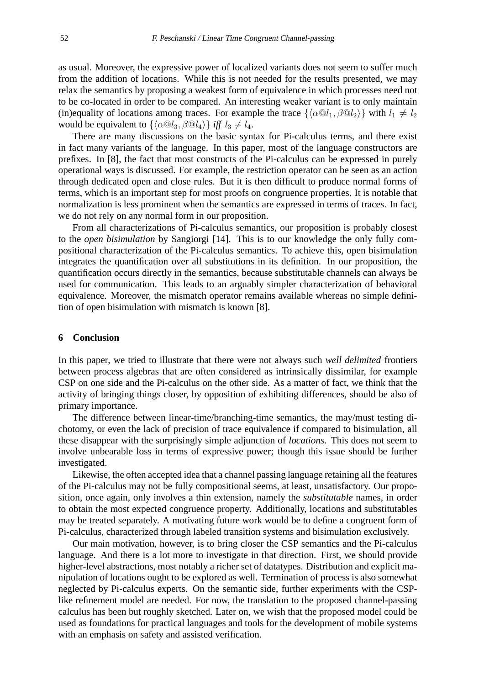as usual. Moreover, the expressive power of localized variants does not seem to suffer much from the addition of locations. While this is not needed for the results presented, we may relax the semantics by proposing a weakest form of equivalence in which processes need not to be co-located in order to be compared. An interesting weaker variant is to only maintain (in)equality of locations among traces. For example the trace  $\{\langle \alpha \mathbb{Q}l_1, \beta \mathbb{Q}l_2 \rangle\}$  with  $l_1 \neq l_2$ would be equivalent to  $\{\langle \alpha \mathbb{Q}l_3, \beta \mathbb{Q}l_4 \rangle \}$  *iff*  $l_3 \neq l_4$ .

There are many discussions on the basic syntax for Pi-calculus terms, and there exist in fact many variants of the language. In this paper, most of the language constructors are prefixes. In [8], the fact that most constructs of the Pi-calculus can be expressed in purely operational ways is discussed. For example, the restriction operator can be seen as an action through dedicated open and close rules. But it is then difficult to produce normal forms of terms, which is an important step for most proofs on congruence properties. It is notable that normalization is less prominent when the semantics are expressed in terms of traces. In fact, we do not rely on any normal form in our proposition.

From all characterizations of Pi-calculus semantics, our proposition is probably closest to the *open bisimulation* by Sangiorgi [14]. This is to our knowledge the only fully compositional characterization of the Pi-calculus semantics. To achieve this, open bisimulation integrates the quantification over all substitutions in its definition. In our proposition, the quantification occurs directly in the semantics, because substitutable channels can always be used for communication. This leads to an arguably simpler characterization of behavioral equivalence. Moreover, the mismatch operator remains available whereas no simple definition of open bisimulation with mismatch is known [8].

# **6 Conclusion**

In this paper, we tried to illustrate that there were not always such *well delimited* frontiers between process algebras that are often considered as intrinsically dissimilar, for example CSP on one side and the Pi-calculus on the other side. As a matter of fact, we think that the activity of bringing things closer, by opposition of exhibiting differences, should be also of primary importance.

The difference between linear-time/branching-time semantics, the may/must testing dichotomy, or even the lack of precision of trace equivalence if compared to bisimulation, all these disappear with the surprisingly simple adjunction of *locations*. This does not seem to involve unbearable loss in terms of expressive power; though this issue should be further investigated.

Likewise, the often accepted idea that a channel passing language retaining all the features of the Pi-calculus may not be fully compositional seems, at least, unsatisfactory. Our proposition, once again, only involves a thin extension, namely the *substitutable* names, in order to obtain the most expected congruence property. Additionally, locations and substitutables may be treated separately. A motivating future work would be to define a congruent form of Pi-calculus, characterized through labeled transition systems and bisimulation exclusively.

Our main motivation, however, is to bring closer the CSP semantics and the Pi-calculus language. And there is a lot more to investigate in that direction. First, we should provide higher-level abstractions, most notably a richer set of datatypes. Distribution and explicit manipulation of locations ought to be explored as well. Termination of process is also somewhat neglected by Pi-calculus experts. On the semantic side, further experiments with the CSPlike refinement model are needed. For now, the translation to the proposed channel-passing calculus has been but roughly sketched. Later on, we wish that the proposed model could be used as foundations for practical languages and tools for the development of mobile systems with an emphasis on safety and assisted verification.